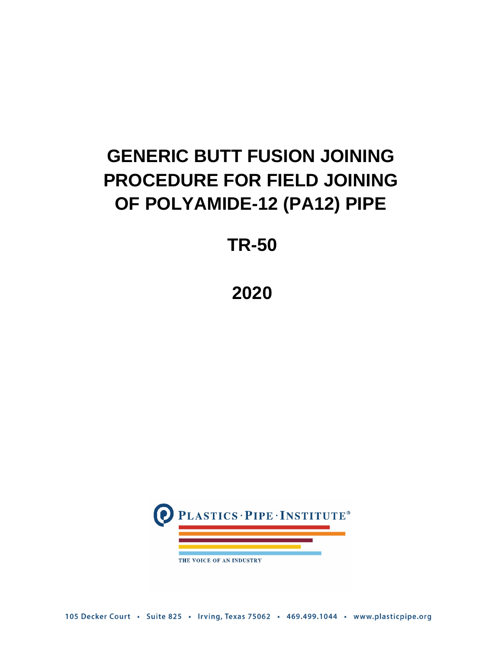# **GENERIC BUTT FUSION JOINING PROCEDURE FOR FIELD JOINING OF POLYAMIDE-12 (PA12) PIPE**

**TR-50**

**2020**



105 Decker Court · Suite 825 · Irving, Texas 75062 · 469.499.1044 · www.plasticpipe.org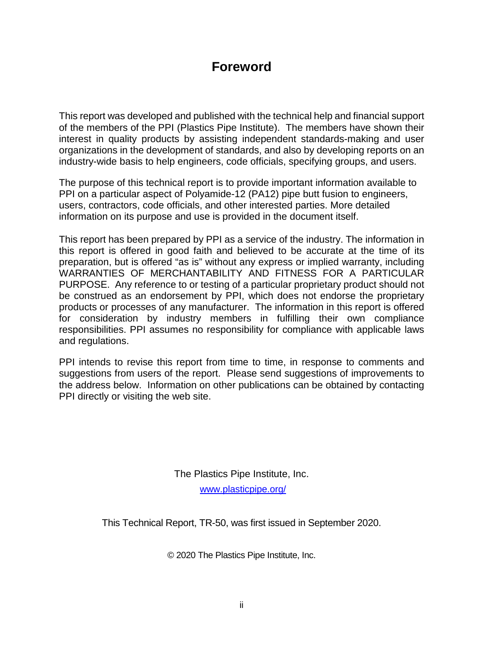## **Foreword**

This report was developed and published with the technical help and financial support of the members of the PPI (Plastics Pipe Institute). The members have shown their interest in quality products by assisting independent standards-making and user organizations in the development of standards, and also by developing reports on an industry-wide basis to help engineers, code officials, specifying groups, and users.

The purpose of this technical report is to provide important information available to PPI on a particular aspect of Polyamide-12 (PA12) pipe butt fusion to engineers, users, contractors, code officials, and other interested parties. More detailed information on its purpose and use is provided in the document itself.

This report has been prepared by PPI as a service of the industry. The information in this report is offered in good faith and believed to be accurate at the time of its preparation, but is offered "as is" without any express or implied warranty, including WARRANTIES OF MERCHANTABILITY AND FITNESS FOR A PARTICULAR PURPOSE. Any reference to or testing of a particular proprietary product should not be construed as an endorsement by PPI, which does not endorse the proprietary products or processes of any manufacturer. The information in this report is offered for consideration by industry members in fulfilling their own compliance responsibilities. PPI assumes no responsibility for compliance with applicable laws and regulations.

PPI intends to revise this report from time to time, in response to comments and suggestions from users of the report. Please send suggestions of improvements to the address below. Information on other publications can be obtained by contacting PPI directly or visiting the web site.

> The Plastics Pipe Institute, Inc. [www.plasticpipe.org/](https://plasticpipe.org/)

This Technical Report, TR-50, was first issued in September 2020.

© 2020 The Plastics Pipe Institute, Inc.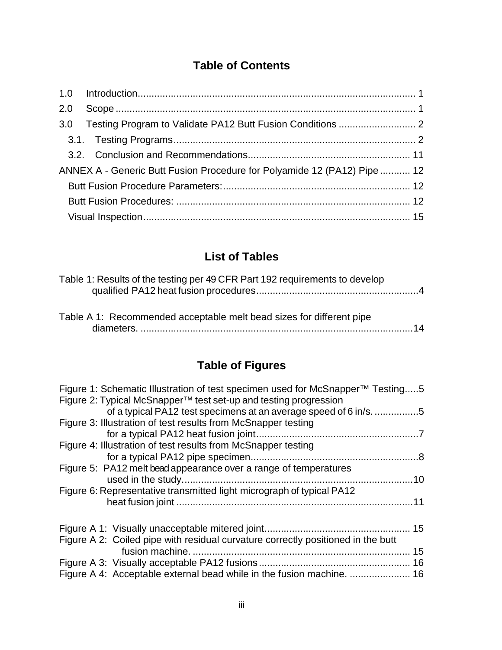## **Table of Contents**

|  | ANNEX A - Generic Butt Fusion Procedure for Polyamide 12 (PA12) Pipe  12 |  |  |  |
|--|--------------------------------------------------------------------------|--|--|--|
|  |                                                                          |  |  |  |
|  |                                                                          |  |  |  |
|  |                                                                          |  |  |  |

## **List of Tables**

| Table 1: Results of the testing per 49 CFR Part 192 requirements to develop |  |
|-----------------------------------------------------------------------------|--|
|                                                                             |  |
|                                                                             |  |
|                                                                             |  |
| Table A 1: Recommended acceptable melt bead sizes for different pipe        |  |

| Table A T. Recommended acceptable men bead sizes for different pipe |  |
|---------------------------------------------------------------------|--|
|                                                                     |  |

## **Table of Figures**

| Figure 1: Schematic Illustration of test specimen used for McSnapper <sup>™</sup> Testing5<br>Figure 2: Typical McSnapper <sup>™</sup> test set-up and testing progression<br>of a typical PA12 test specimens at an average speed of 6 in/s5 |  |
|-----------------------------------------------------------------------------------------------------------------------------------------------------------------------------------------------------------------------------------------------|--|
| Figure 3: Illustration of test results from McSnapper testing                                                                                                                                                                                 |  |
|                                                                                                                                                                                                                                               |  |
| Figure 4: Illustration of test results from McSnapper testing                                                                                                                                                                                 |  |
|                                                                                                                                                                                                                                               |  |
| Figure 5: PA12 melt bead appearance over a range of temperatures                                                                                                                                                                              |  |
|                                                                                                                                                                                                                                               |  |
| Figure 6: Representative transmitted light micrograph of typical PA12                                                                                                                                                                         |  |
|                                                                                                                                                                                                                                               |  |
|                                                                                                                                                                                                                                               |  |
| Figure A 2: Coiled pipe with residual curvature correctly positioned in the butt                                                                                                                                                              |  |
|                                                                                                                                                                                                                                               |  |
|                                                                                                                                                                                                                                               |  |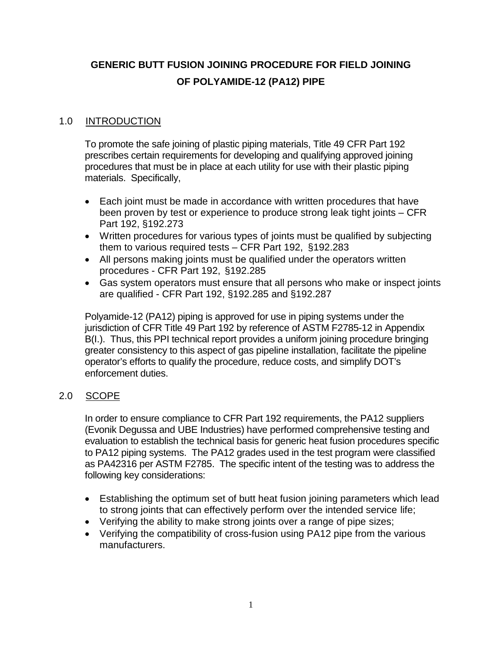## **GENERIC BUTT FUSION JOINING PROCEDURE FOR FIELD JOINING OF POLYAMIDE-12 (PA12) PIPE**

#### <span id="page-3-0"></span>1.0 INTRODUCTION

To promote the safe joining of plastic piping materials, Title 49 CFR Part 192 prescribes certain requirements for developing and qualifying approved joining procedures that must be in place at each utility for use with their plastic piping materials. Specifically,

- Each joint must be made in accordance with written procedures that have been proven by test or experience to produce strong leak tight joints – CFR Part 192, §192.273
- Written procedures for various types of joints must be qualified by subjecting them to various required tests – CFR Part 192, §192.283
- All persons making joints must be qualified under the operators written procedures - CFR Part 192, §192.285
- Gas system operators must ensure that all persons who make or inspect joints are qualified - CFR Part 192, §192.285 and §192.287

Polyamide-12 (PA12) piping is approved for use in piping systems under the jurisdiction of CFR Title 49 Part 192 by reference of ASTM F2785-12 in Appendix B(I.). Thus, this PPI technical report provides a uniform joining procedure bringing greater consistency to this aspect of gas pipeline installation, facilitate the pipeline operator's efforts to qualify the procedure, reduce costs, and simplify DOT's enforcement duties.

#### <span id="page-3-1"></span>2.0 SCOPE

In order to ensure compliance to CFR Part 192 requirements, the PA12 suppliers (Evonik Degussa and UBE Industries) have performed comprehensive testing and evaluation to establish the technical basis for generic heat fusion procedures specific to PA12 piping systems. The PA12 grades used in the test program were classified as PA42316 per ASTM F2785. The specific intent of the testing was to address the following key considerations:

- Establishing the optimum set of butt heat fusion joining parameters which lead to strong joints that can effectively perform over the intended service life;
- Verifying the ability to make strong joints over a range of pipe sizes;
- Verifying the compatibility of cross-fusion using PA12 pipe from the various manufacturers.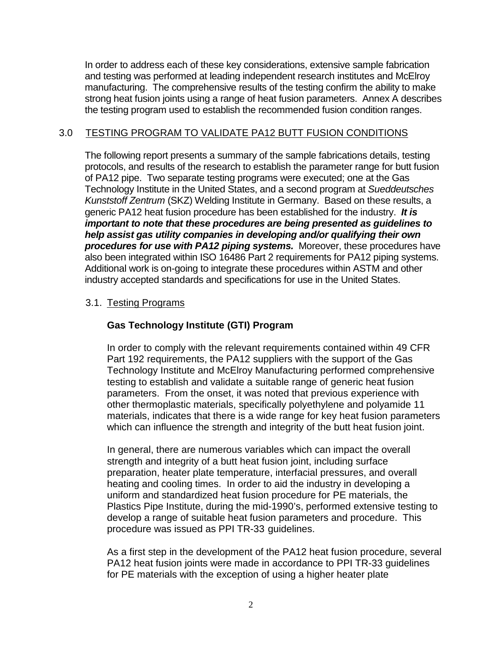In order to address each of these key considerations, extensive sample fabrication and testing was performed at leading independent research institutes and McElroy manufacturing. The comprehensive results of the testing confirm the ability to make strong heat fusion joints using a range of heat fusion parameters. Annex A describes the testing program used to establish the recommended fusion condition ranges.

#### <span id="page-4-0"></span>3.0 TESTING PROGRAM TO VALIDATE PA12 BUTT FUSION CONDITIONS

The following report presents a summary of the sample fabrications details, testing protocols, and results of the research to establish the parameter range for butt fusion of PA12 pipe. Two separate testing programs were executed; one at the Gas Technology Institute in the United States, and a second program at *Sueddeutsches Kunststoff Zentrum* (SKZ) Welding Institute in Germany. Based on these results, a generic PA12 heat fusion procedure has been established for the industry. *It is important to note that these procedures are being presented as guidelines to help assist gas utility companies in developing and/or qualifying their own procedures for use with PA12 piping systems.* Moreover, these procedures have also been integrated within ISO 16486 Part 2 requirements for PA12 piping systems. Additional work is on-going to integrate these procedures within ASTM and other industry accepted standards and specifications for use in the United States.

#### <span id="page-4-1"></span>3.1. Testing Programs

#### **Gas Technology Institute (GTI) Program**

In order to comply with the relevant requirements contained within 49 CFR Part 192 requirements, the PA12 suppliers with the support of the Gas Technology Institute and McElroy Manufacturing performed comprehensive testing to establish and validate a suitable range of generic heat fusion parameters. From the onset, it was noted that previous experience with other thermoplastic materials, specifically polyethylene and polyamide 11 materials, indicates that there is a wide range for key heat fusion parameters which can influence the strength and integrity of the butt heat fusion joint.

In general, there are numerous variables which can impact the overall strength and integrity of a butt heat fusion joint, including surface preparation, heater plate temperature, interfacial pressures, and overall heating and cooling times. In order to aid the industry in developing a uniform and standardized heat fusion procedure for PE materials, the Plastics Pipe Institute, during the mid-1990's, performed extensive testing to develop a range of suitable heat fusion parameters and procedure. This procedure was issued as PPI TR-33 guidelines.

As a first step in the development of the PA12 heat fusion procedure, several PA12 heat fusion joints were made in accordance to PPI TR-33 guidelines for PE materials with the exception of using a higher heater plate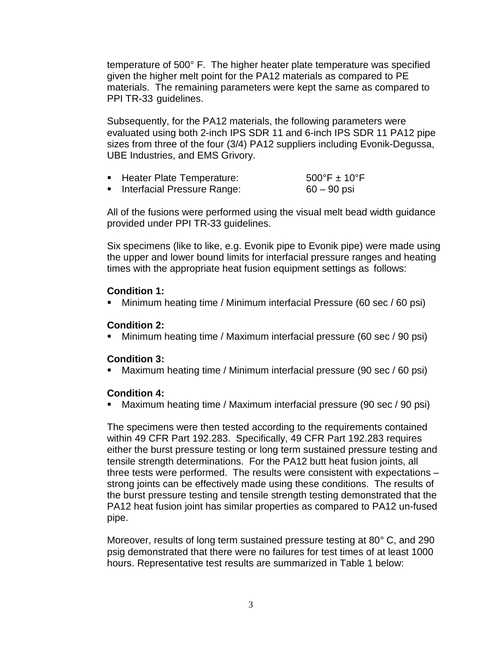temperature of 500° F. The higher heater plate temperature was specified given the higher melt point for the PA12 materials as compared to PE materials. The remaining parameters were kept the same as compared to PPI TR-33 guidelines.

Subsequently, for the PA12 materials, the following parameters were evaluated using both 2-inch IPS SDR 11 and 6-inch IPS SDR 11 PA12 pipe sizes from three of the four (3/4) PA12 suppliers including Evonik-Degussa, UBE Industries, and EMS Grivory.

| <b>Heater Plate Temperature:</b> | $500^{\circ}$ F ± 10 $^{\circ}$ F |
|----------------------------------|-----------------------------------|
|                                  |                                   |

■ Interfacial Pressure Range: 60 – 90 psi

All of the fusions were performed using the visual melt bead width guidance provided under PPI TR-33 guidelines.

Six specimens (like to like, e.g. Evonik pipe to Evonik pipe) were made using the upper and lower bound limits for interfacial pressure ranges and heating times with the appropriate heat fusion equipment settings as follows:

#### **Condition 1:**

Minimum heating time / Minimum interfacial Pressure (60 sec / 60 psi)

#### **Condition 2:**

Minimum heating time / Maximum interfacial pressure (60 sec / 90 psi)

#### **Condition 3:**

Maximum heating time / Minimum interfacial pressure (90 sec / 60 psi)

#### **Condition 4:**

Maximum heating time / Maximum interfacial pressure (90 sec / 90 psi)

The specimens were then tested according to the requirements contained within 49 CFR Part 192.283. Specifically, 49 CFR Part 192.283 requires either the burst pressure testing or long term sustained pressure testing and tensile strength determinations. For the PA12 butt heat fusion joints, all three tests were performed. The results were consistent with expectations – strong joints can be effectively made using these conditions. The results of the burst pressure testing and tensile strength testing demonstrated that the PA12 heat fusion joint has similar properties as compared to PA12 un-fused pipe.

Moreover, results of long term sustained pressure testing at 80*°* C, and 290 psig demonstrated that there were no failures for test times of at least 1000 hours. Representative test results are summarized in Table 1 below: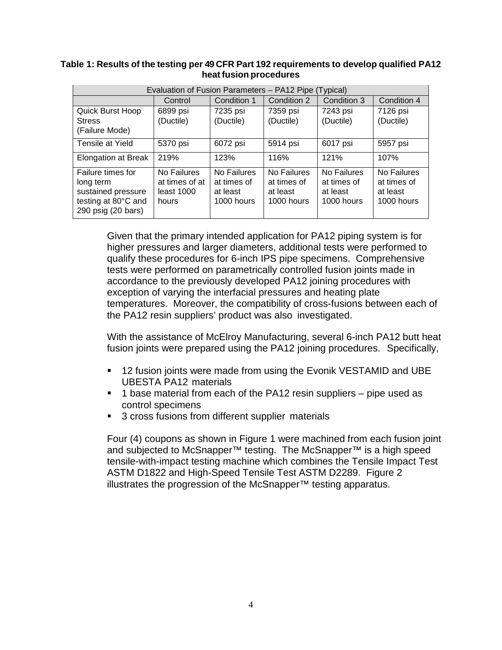#### <span id="page-6-0"></span>**Table 1: Results of the testing per 49 CFR Part 192 requirements to develop qualified PA12 heat fusion procedures**

| Evaluation of Fusion Parameters - PA12 Pipe (Typical)                                             |                                                      |                                                      |                                                      |                                                      |                                                      |
|---------------------------------------------------------------------------------------------------|------------------------------------------------------|------------------------------------------------------|------------------------------------------------------|------------------------------------------------------|------------------------------------------------------|
|                                                                                                   | Control                                              | Condition 1                                          | Condition 2                                          | Condition 3                                          | Condition 4                                          |
| Quick Burst Hoop<br><b>Stress</b><br>(Failure Mode)                                               | 6899 psi<br>(Ductile)                                | 7235 psi<br>(Ductile)                                | 7359 psi<br>(Ductile)                                | 7243 psi<br>(Ductile)                                | 7126 psi<br>(Ductile)                                |
| Tensile at Yield                                                                                  | 5370 psi                                             | 6072 psi                                             | 5914 psi                                             | 6017 psi                                             | 5957 psi                                             |
| <b>Elongation at Break</b>                                                                        | 219%                                                 | 123%                                                 | 116%                                                 | 121%                                                 | 107%                                                 |
| Failure times for<br>long term<br>sustained pressure<br>testing at 80°C and<br>290 psig (20 bars) | No Failures<br>at times of at<br>least 1000<br>hours | No Failures<br>at times of<br>at least<br>1000 hours | No Failures<br>at times of<br>at least<br>1000 hours | No Failures<br>at times of<br>at least<br>1000 hours | No Failures<br>at times of<br>at least<br>1000 hours |

Given that the primary intended application for PA12 piping system is for higher pressures and larger diameters, additional tests were performed to qualify these procedures for 6-inch IPS pipe specimens. Comprehensive tests were performed on parametrically controlled fusion joints made in accordance to the previously developed PA12 joining procedures with exception of varying the interfacial pressures and heating plate temperatures. Moreover, the compatibility of cross-fusions between each of the PA12 resin suppliers' product was also investigated.

With the assistance of McElroy Manufacturing, several 6-inch PA12 butt heat fusion joints were prepared using the PA12 joining procedures. Specifically,

- **12 fusion joints were made from using the Evonik VESTAMID and UBE** UBESTA PA12 materials
- $\blacksquare$  1 base material from each of the PA12 resin suppliers pipe used as control specimens
- 3 cross fusions from different supplier materials

Four (4) coupons as shown in Figure 1 were machined from each fusion joint and subjected to McSnapper™ testing. The McSnapper™ is a high speed tensile-with-impact testing machine which combines the Tensile Impact Test ASTM D1822 and High-Speed Tensile Test ASTM D2289. Figure 2 illustrates the progression of the McSnapper™ testing apparatus.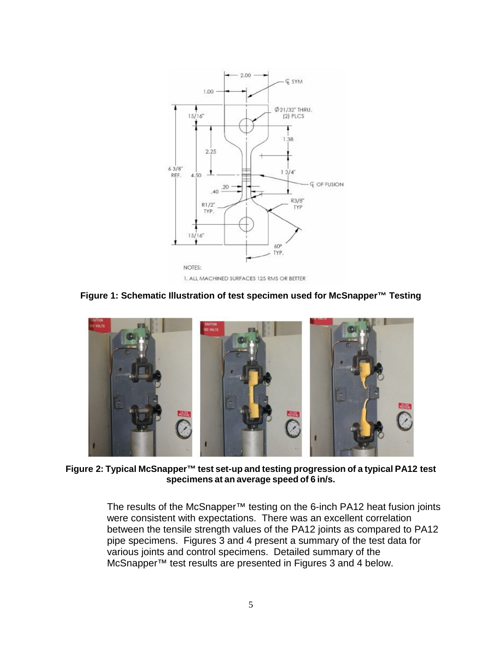

**Figure 1: Schematic Illustration of test specimen used for McSnapper™ Testing**

<span id="page-7-0"></span>

**Figure 2: Typical McSnapper™ test set-up and testing progression of a typical PA12 test specimens at an average speed of 6 in/s.**

<span id="page-7-1"></span>The results of the McSnapper™ testing on the 6-inch PA12 heat fusion joints were consistent with expectations. There was an excellent correlation between the tensile strength values of the PA12 joints as compared to PA12 pipe specimens. Figures 3 and 4 present a summary of the test data for various joints and control specimens. Detailed summary of the McSnapper™ test results are presented in Figures 3 and 4 below.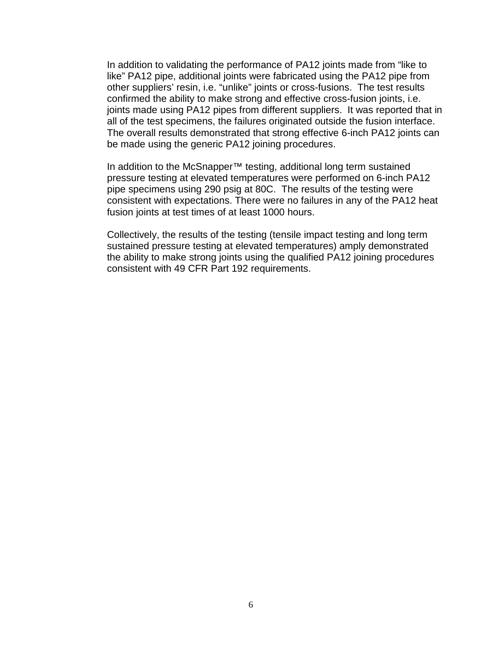In addition to validating the performance of PA12 joints made from "like to like" PA12 pipe, additional joints were fabricated using the PA12 pipe from other suppliers' resin, i.e. "unlike" joints or cross-fusions. The test results confirmed the ability to make strong and effective cross-fusion joints, i.e. joints made using PA12 pipes from different suppliers. It was reported that in all of the test specimens, the failures originated outside the fusion interface. The overall results demonstrated that strong effective 6-inch PA12 joints can be made using the generic PA12 joining procedures.

In addition to the McSnapper™ testing, additional long term sustained pressure testing at elevated temperatures were performed on 6-inch PA12 pipe specimens using 290 psig at 80C. The results of the testing were consistent with expectations. There were no failures in any of the PA12 heat fusion joints at test times of at least 1000 hours.

Collectively, the results of the testing (tensile impact testing and long term sustained pressure testing at elevated temperatures) amply demonstrated the ability to make strong joints using the qualified PA12 joining procedures consistent with 49 CFR Part 192 requirements.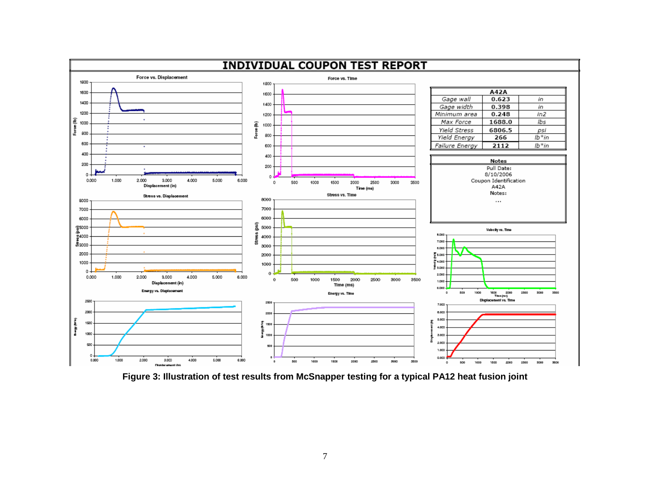

<span id="page-9-0"></span>**Figure 3: Illustration of test results from McSnapper testing for a typical PA12 heat fusion joint**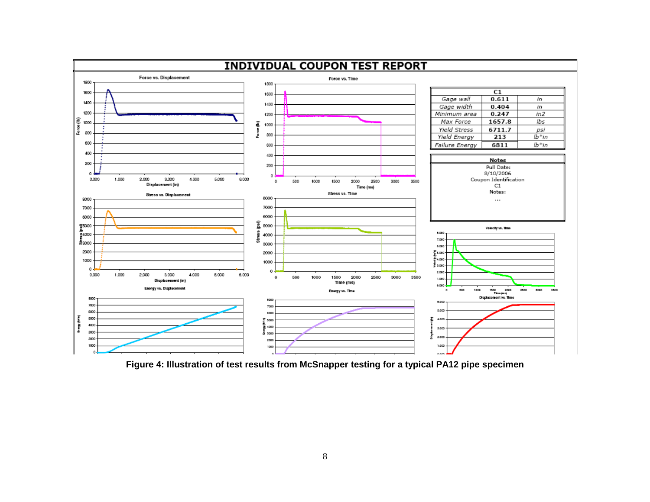

<span id="page-10-0"></span>**Figure 4: Illustration of test results from McSnapper testing for a typical PA12 pipe specimen**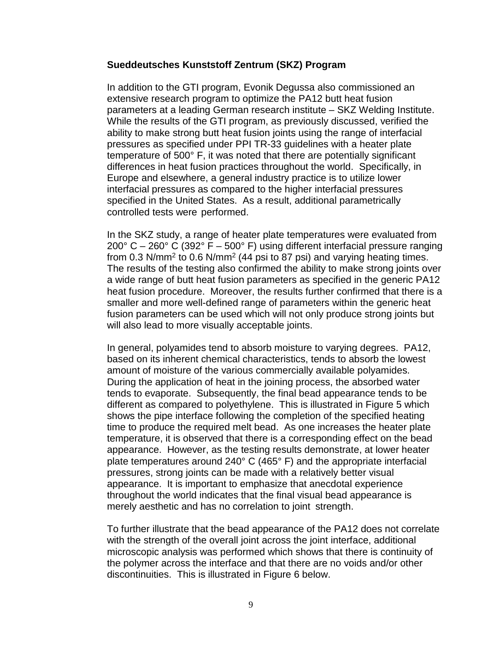#### **Sueddeutsches Kunststoff Zentrum (SKZ) Program**

In addition to the GTI program, Evonik Degussa also commissioned an extensive research program to optimize the PA12 butt heat fusion parameters at a leading German research institute – SKZ Welding Institute. While the results of the GTI program, as previously discussed, verified the ability to make strong butt heat fusion joints using the range of interfacial pressures as specified under PPI TR-33 guidelines with a heater plate temperature of 500° F, it was noted that there are potentially significant differences in heat fusion practices throughout the world. Specifically, in Europe and elsewhere, a general industry practice is to utilize lower interfacial pressures as compared to the higher interfacial pressures specified in the United States. As a result, additional parametrically controlled tests were performed.

In the SKZ study, a range of heater plate temperatures were evaluated from  $200^{\circ}$  C –  $260^{\circ}$  C (392° F – 500° F) using different interfacial pressure ranging from 0.3 N/mm<sup>2</sup> to 0.6 N/mm<sup>2</sup> (44 psi to 87 psi) and varying heating times. The results of the testing also confirmed the ability to make strong joints over a wide range of butt heat fusion parameters as specified in the generic PA12 heat fusion procedure. Moreover, the results further confirmed that there is a smaller and more well-defined range of parameters within the generic heat fusion parameters can be used which will not only produce strong joints but will also lead to more visually acceptable joints.

In general, polyamides tend to absorb moisture to varying degrees. PA12, based on its inherent chemical characteristics, tends to absorb the lowest amount of moisture of the various commercially available polyamides. During the application of heat in the joining process, the absorbed water tends to evaporate. Subsequently, the final bead appearance tends to be different as compared to polyethylene. This is illustrated in Figure 5 which shows the pipe interface following the completion of the specified heating time to produce the required melt bead. As one increases the heater plate temperature, it is observed that there is a corresponding effect on the bead appearance. However, as the testing results demonstrate, at lower heater plate temperatures around 240° C (465° F) and the appropriate interfacial pressures, strong joints can be made with a relatively better visual appearance. It is important to emphasize that anecdotal experience throughout the world indicates that the final visual bead appearance is merely aesthetic and has no correlation to joint strength.

To further illustrate that the bead appearance of the PA12 does not correlate with the strength of the overall joint across the joint interface, additional microscopic analysis was performed which shows that there is continuity of the polymer across the interface and that there are no voids and/or other discontinuities. This is illustrated in Figure 6 below.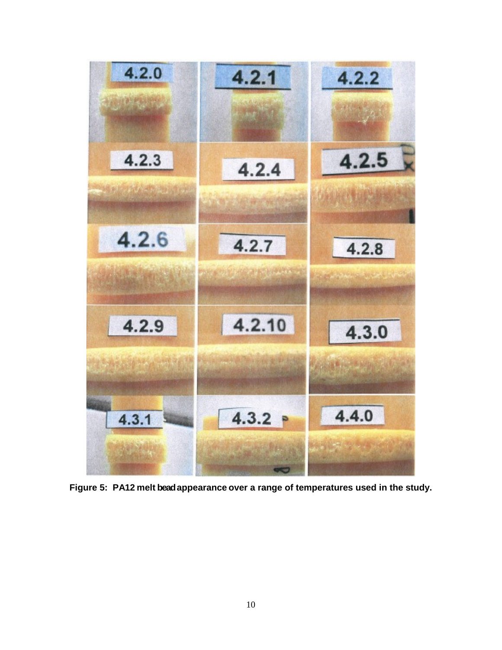

<span id="page-12-0"></span>**Figure 5: PA12 melt bead appearance over a range of temperatures used in the study.**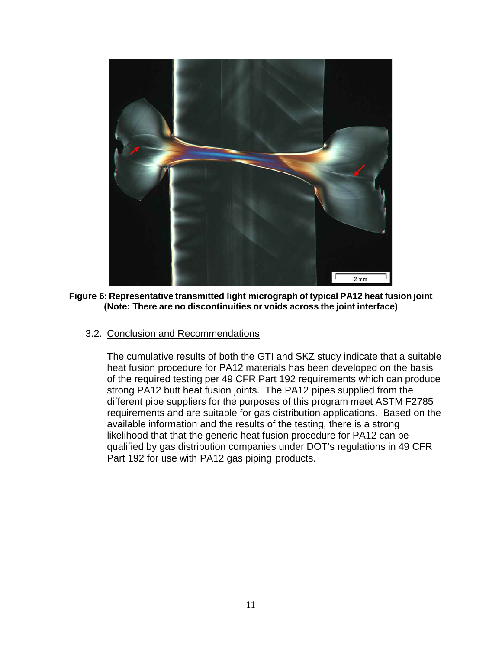

**Figure 6: Representative transmitted light micrograph of typical PA12 heat fusion joint (Note: There are no discontinuities or voids across the joint interface)**

<span id="page-13-1"></span><span id="page-13-0"></span>3.2. Conclusion and Recommendations

The cumulative results of both the GTI and SKZ study indicate that a suitable heat fusion procedure for PA12 materials has been developed on the basis of the required testing per 49 CFR Part 192 requirements which can produce strong PA12 butt heat fusion joints. The PA12 pipes supplied from the different pipe suppliers for the purposes of this program meet ASTM F2785 requirements and are suitable for gas distribution applications. Based on the available information and the results of the testing, there is a strong likelihood that that the generic heat fusion procedure for PA12 can be qualified by gas distribution companies under DOT's regulations in 49 CFR Part 192 for use with PA12 gas piping products.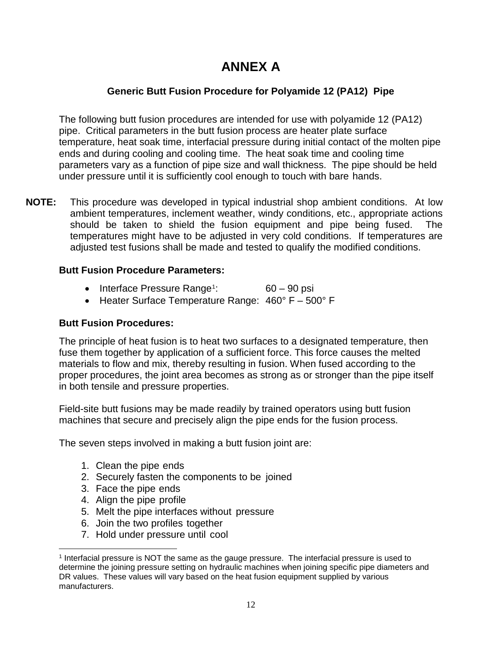## **ANNEX A**

#### **Generic Butt Fusion Procedure for Polyamide 12 (PA12) Pipe**

<span id="page-14-0"></span>The following butt fusion procedures are intended for use with polyamide 12 (PA12) pipe. Critical parameters in the butt fusion process are heater plate surface temperature, heat soak time, interfacial pressure during initial contact of the molten pipe ends and during cooling and cooling time. The heat soak time and cooling time parameters vary as a function of pipe size and wall thickness. The pipe should be held under pressure until it is sufficiently cool enough to touch with bare hands.

**NOTE:** This procedure was developed in typical industrial shop ambient conditions. At low ambient temperatures, inclement weather, windy conditions, etc., appropriate actions should be taken to shield the fusion equipment and pipe being fused. The temperatures might have to be adjusted in very cold conditions. If temperatures are adjusted test fusions shall be made and tested to qualify the modified conditions.

#### <span id="page-14-1"></span>**Butt Fusion Procedure Parameters:**

- Interface Pressure Range<sup>[1](#page-14-3)</sup>: : 60 – 90 psi
- Heater Surface Temperature Range: 460° F 500° F

#### <span id="page-14-2"></span>**Butt Fusion Procedures:**

The principle of heat fusion is to heat two surfaces to a designated temperature, then fuse them together by application of a sufficient force. This force causes the melted materials to flow and mix, thereby resulting in fusion. When fused according to the proper procedures, the joint area becomes as strong as or stronger than the pipe itself in both tensile and pressure properties.

Field-site butt fusions may be made readily by trained operators using butt fusion machines that secure and precisely align the pipe ends for the fusion process.

The seven steps involved in making a butt fusion joint are:

- 1. Clean the pipe ends
- 2. Securely fasten the components to be joined
- 3. Face the pipe ends
- 4. Align the pipe profile
- 5. Melt the pipe interfaces without pressure
- 6. Join the two profiles together
- 7. Hold under pressure until cool

<span id="page-14-3"></span> $\overline{a}$ <sup>1</sup> Interfacial pressure is NOT the same as the gauge pressure. The interfacial pressure is used to determine the joining pressure setting on hydraulic machines when joining specific pipe diameters and DR values. These values will vary based on the heat fusion equipment supplied by various manufacturers.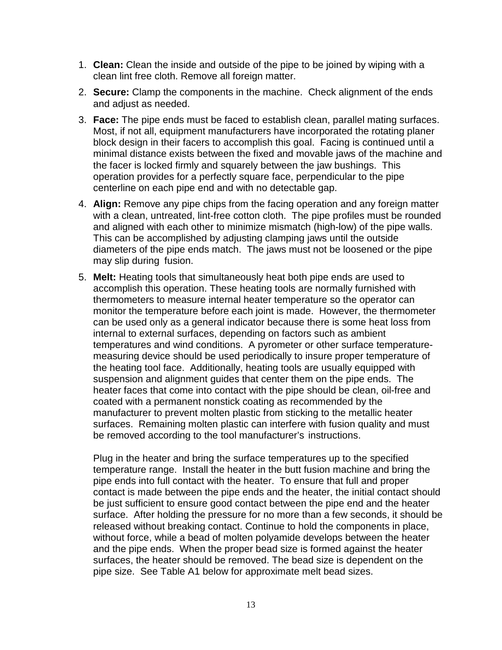- 1. **Clean:** Clean the inside and outside of the pipe to be joined by wiping with a clean lint free cloth. Remove all foreign matter.
- 2. **Secure:** Clamp the components in the machine. Check alignment of the ends and adjust as needed.
- 3. **Face:** The pipe ends must be faced to establish clean, parallel mating surfaces. Most, if not all, equipment manufacturers have incorporated the rotating planer block design in their facers to accomplish this goal. Facing is continued until a minimal distance exists between the fixed and movable jaws of the machine and the facer is locked firmly and squarely between the jaw bushings. This operation provides for a perfectly square face, perpendicular to the pipe centerline on each pipe end and with no detectable gap.
- 4. **Align:** Remove any pipe chips from the facing operation and any foreign matter with a clean, untreated, lint-free cotton cloth. The pipe profiles must be rounded and aligned with each other to minimize mismatch (high-low) of the pipe walls. This can be accomplished by adjusting clamping jaws until the outside diameters of the pipe ends match. The jaws must not be loosened or the pipe may slip during fusion.
- 5. **Melt:** Heating tools that simultaneously heat both pipe ends are used to accomplish this operation. These heating tools are normally furnished with thermometers to measure internal heater temperature so the operator can monitor the temperature before each joint is made. However, the thermometer can be used only as a general indicator because there is some heat loss from internal to external surfaces, depending on factors such as ambient temperatures and wind conditions. A pyrometer or other surface temperaturemeasuring device should be used periodically to insure proper temperature of the heating tool face. Additionally, heating tools are usually equipped with suspension and alignment guides that center them on the pipe ends. The heater faces that come into contact with the pipe should be clean, oil-free and coated with a permanent nonstick coating as recommended by the manufacturer to prevent molten plastic from sticking to the metallic heater surfaces. Remaining molten plastic can interfere with fusion quality and must be removed according to the tool manufacturer's instructions.

Plug in the heater and bring the surface temperatures up to the specified temperature range. Install the heater in the butt fusion machine and bring the pipe ends into full contact with the heater. To ensure that full and proper contact is made between the pipe ends and the heater, the initial contact should be just sufficient to ensure good contact between the pipe end and the heater surface. After holding the pressure for no more than a few seconds, it should be released without breaking contact. Continue to hold the components in place, without force, while a bead of molten polyamide develops between the heater and the pipe ends. When the proper bead size is formed against the heater surfaces, the heater should be removed. The bead size is dependent on the pipe size. See Table A1 below for approximate melt bead sizes.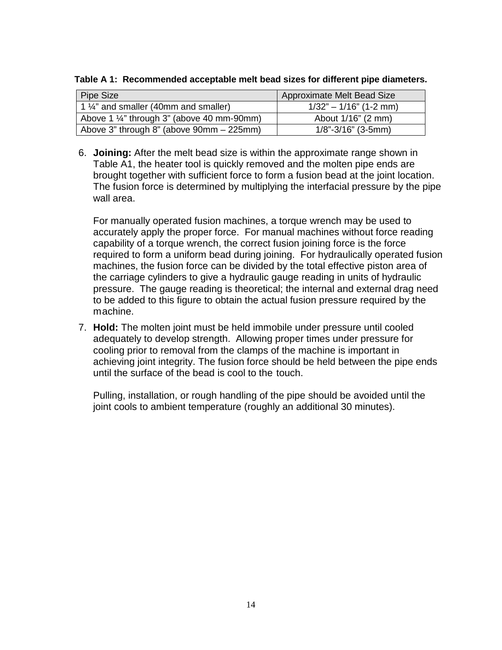<span id="page-16-0"></span>**Table A 1: Recommended acceptable melt bead sizes for different pipe diameters.**

| Pipe Size                                             | Approximate Melt Bead Size |
|-------------------------------------------------------|----------------------------|
| 1 $\frac{1}{4}$ and smaller (40mm and smaller)        | $1/32" - 1/16"$ (1-2 mm)   |
| Above 1 $\frac{1}{4}$ " through 3" (above 40 mm-90mm) | About 1/16" (2 mm)         |
| Above 3" through 8" (above 90mm - 225mm)              | $1/8$ "-3/16" (3-5mm)      |

6. **Joining:** After the melt bead size is within the approximate range shown in Table A1, the heater tool is quickly removed and the molten pipe ends are brought together with sufficient force to form a fusion bead at the joint location. The fusion force is determined by multiplying the interfacial pressure by the pipe wall area.

For manually operated fusion machines, a torque wrench may be used to accurately apply the proper force. For manual machines without force reading capability of a torque wrench, the correct fusion joining force is the force required to form a uniform bead during joining. For hydraulically operated fusion machines, the fusion force can be divided by the total effective piston area of the carriage cylinders to give a hydraulic gauge reading in units of hydraulic pressure. The gauge reading is theoretical; the internal and external drag need to be added to this figure to obtain the actual fusion pressure required by the machine.

7. **Hold:** The molten joint must be held immobile under pressure until cooled adequately to develop strength. Allowing proper times under pressure for cooling prior to removal from the clamps of the machine is important in achieving joint integrity. The fusion force should be held between the pipe ends until the surface of the bead is cool to the touch.

Pulling, installation, or rough handling of the pipe should be avoided until the joint cools to ambient temperature (roughly an additional 30 minutes).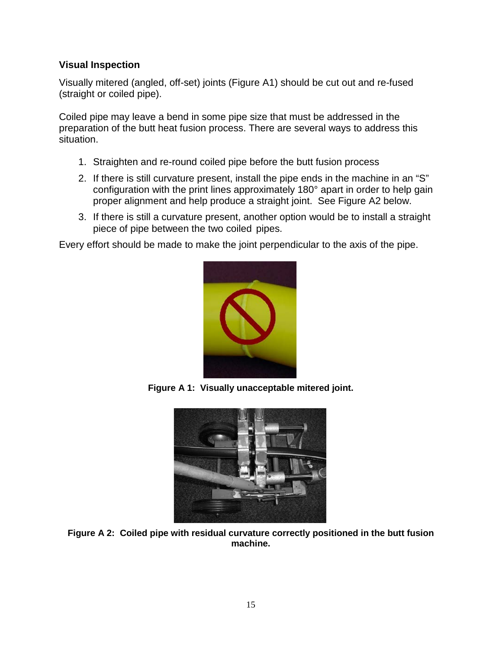#### <span id="page-17-0"></span>**Visual Inspection**

Visually mitered (angled, off-set) joints (Figure A1) should be cut out and re-fused (straight or coiled pipe).

Coiled pipe may leave a bend in some pipe size that must be addressed in the preparation of the butt heat fusion process. There are several ways to address this situation.

- 1. Straighten and re-round coiled pipe before the butt fusion process
- 2. If there is still curvature present, install the pipe ends in the machine in an "S" configuration with the print lines approximately 180° apart in order to help gain proper alignment and help produce a straight joint. See Figure A2 below.
- 3. If there is still a curvature present, another option would be to install a straight piece of pipe between the two coiled pipes.

Every effort should be made to make the joint perpendicular to the axis of the pipe.



**Figure A 1: Visually unacceptable mitered joint.**

<span id="page-17-2"></span><span id="page-17-1"></span>

**Figure A 2: Coiled pipe with residual curvature correctly positioned in the butt fusion machine.**